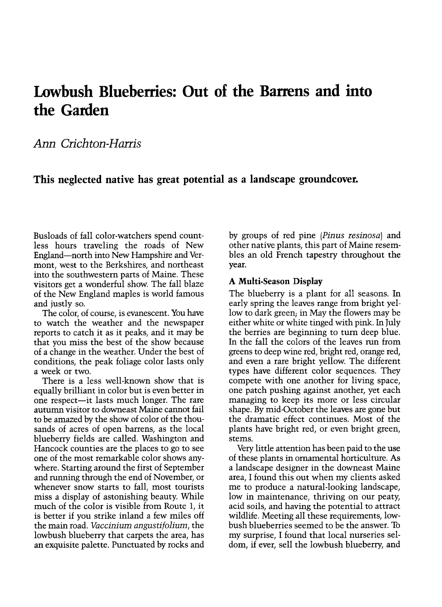# Lowbush Blueberries: Out of the Barrens and into the Garden

## Ann Crichton-Harris

### This neglected native has great potential as a landscape groundcover.

Busloads of fall color-watchers spend countless hours traveling the roads of New England-north into New Hampshire and Vermont, west to the Berkshires, and northeast into the southwestern parts of Maine. These visitors get a wonderful show. The fall blaze of the New England maples is world famous and justly so.

The color, of course, is evanescent. You have to watch the weather and the newspaper reports to catch it as it peaks, and it may be that you miss the best of the show because of a change in the weather. Under the best of conditions, the peak foliage color lasts only a week or two.

There is a less well-known show that is equally brilliant in color but is even better in one respect-it lasts much longer. The rare autumn visitor to downeast Maine cannot fail to be amazed by the show of color of the thousands of acres of open barrens, as the local blueberry fields are called. Washington and Hancock counties are the places to go to see one of the most remarkable color shows anywhere. Starting around the first of September and running through the end of November, or whenever snow starts to fall, most tourists miss a display of astonishing beauty. While much of the color is visible from Route 1, it is better if you strike inland a few miles off the main road. Vaccinium angustifolium, the lowbush blueberry that carpets the area, has an exquisite palette. Punctuated by rocks and by groups of red pine (Pinus resinosa) and other native plants, this part of Maine resembles an old French tapestry throughout the year.

#### A Multi-Season Display

The blueberry is a plant for all seasons. In early spring the leaves range from bright yellow to dark green; in May the flowers may be either white or white tinged with pink. In July the berries are beginning to turn deep blue. In the fall the colors of the leaves run from greens to deep wine red, bright red, orange red, and even a rare bright yellow. The different types have different color sequences. They compete with one another for living space, one patch pushing against another, yet each managing to keep its more or less circular shape. By mid-October the leaves are gone but the dramatic effect continues. Most of the plants have bright red, or even bright green, stems.

Very little attention has been paid to the use of these plants in ornamental horticulture. As a landscape designer in the downeast Maine area, I found this out when my clients asked me to produce a natural-looking landscape, low in maintenance, thriving on our peaty, acid soils, and having the potential to attract wildlife. Meeting all these requirements, lowbush blueberries seemed to be the answer. To my surprise, I found that local nurseries seldom, if ever, sell the lowbush blueberry, and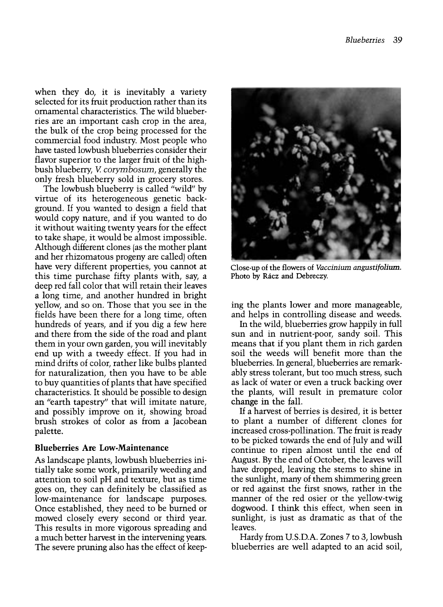when they do, it is inevitably a variety selected for its fruit production rather than its ornamental characteristics. The wild blueberries are an important cash crop in the area, the bulk of the crop being processed for the commercial food industry. Most people who have tasted lowbush blueberries consider their flavor superior to the larger fruit of the highbush blueberry, V. corymbosum, generally the only fresh blueberry sold in grocery stores.

The lowbush blueberry is called "wild" by virtue of its heterogeneous genetic background. If you wanted to design a field that would copy nature, and if you wanted to do it without waiting twenty years for the effect to take shape, it would be almost impossible. Although different clones (as the mother plant and her rhizomatous progeny are called) often have very different properties, you cannot at this time purchase fifty plants with, say, a deep red fall color that will retain their leaves a long time, and another hundred in bright yellow, and so on. Those that you see in the fields have been there for a long time, often hundreds of years, and if you dig a few here and there from the side of the road and plant them in your own garden, you will inevitably end up with a tweedy effect. If you had in mind drifts of color, rather like bulbs planted for naturalization, then you have to be able to buy quantities of plants that have specified characteristics. It should be possible to design an "earth tapestry" that will imitate nature, and possibly improve on it, showing broad brush strokes of color as from a Jacobean palette.

#### Blueberries Are Low-Maintenance

As landscape plants, lowbush blueberries initially take some work, primarily weeding and attention to soil pH and texture, but as time goes on, they can definitely be classified as low-maintenance for landscape purposes. Once established, they need to be burned or mowed closely every second or third year. This results in more vigorous spreading and a much better harvest in the intervening years. The severe pruning also has the effect of keep-



Close-up of the flowers of Vaccinium angustifolium. Photo by Rácz and Debreczy.

ing the plants lower and more manageable, and helps in controlling disease and weeds.

In the wild, blueberries grow happily in full sun and in nutrient-poor, sandy soil. This means that if you plant them in rich garden soil the weeds will benefit more than the blueberries. In general, blueberries are remarkably stress tolerant, but too much stress, such as lack of water or even a truck backing over the plants, will result in premature color change in the fall.

If a harvest of berries is desired, it is better to plant a number of different clones for increased cross-pollination. The fruit is ready to be picked towards the end of July and will continue to ripen almost until the end of August. By the end of October, the leaves will have dropped, leaving the stems to shine in the sunlight, many of them shimmering green or red against the first snows, rather in the manner of the red osier or the yellow-twig dogwood. I think this effect, when seen in sunlight, is just as dramatic as that of the leaves.

Hardy from U.S.D.A. Zones 7 to 3, lowbush blueberries are well adapted to an acid soil,